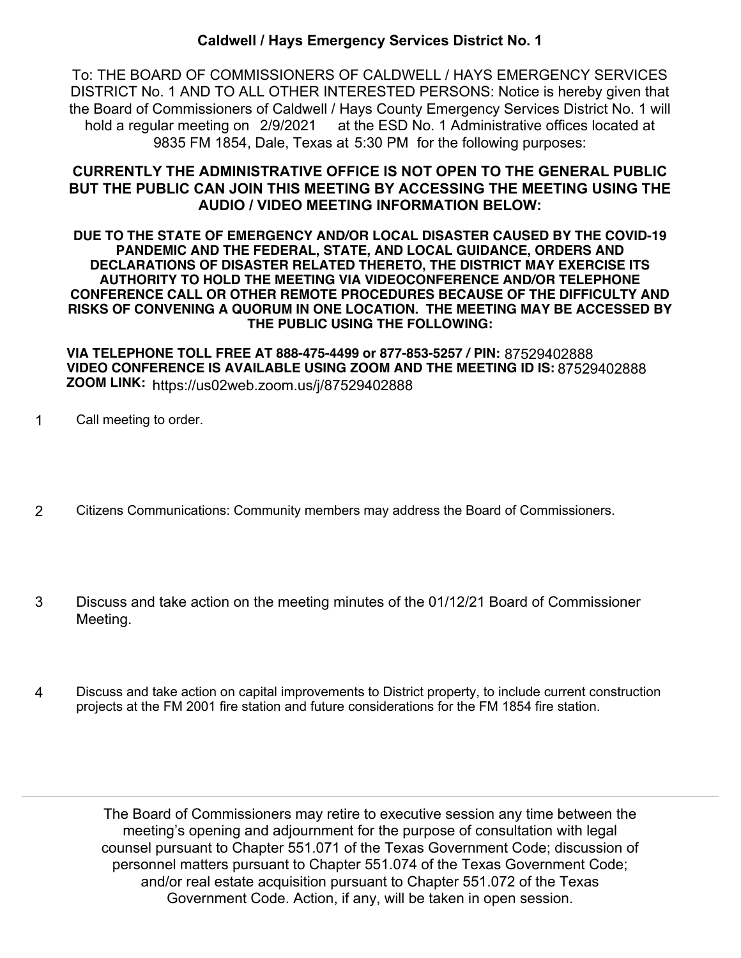## **Caldwell / Hays Emergency Services District No. 1**

To: THE BOARD OF COMMISSIONERS OF CALDWELL / HAYS EMERGENCY SERVICES DISTRICT No. 1 AND TO ALL OTHER INTERESTED PERSONS: Notice is hereby given that the Board of Commissioners of Caldwell / Hays County Emergency Services District No. 1 will hold a regular meeting on 2/9/2021 at the ESD No. 1 Administrative offices located at 9835 FM 1854, Dale, Texas at 5:30 PM for the following purposes:

## **CURRENTLY THE ADMINISTRATIVE OFFICE IS NOT OPEN TO THE GENERAL PUBLIC BUT THE PUBLIC CAN JOIN THIS MEETING BY ACCESSING THE MEETING USING THE AUDIO / VIDEO MEETING INFORMATION BELOW:**

**DUE TO THE STATE OF EMERGENCY AND/OR LOCAL DISASTER CAUSED BY THE COVID-19 PANDEMIC AND THE FEDERAL, STATE, AND LOCAL GUIDANCE, ORDERS AND DECLARATIONS OF DISASTER RELATED THERETO, THE DISTRICT MAY EXERCISE ITS AUTHORITY TO HOLD THE MEETING VIA VIDEOCONFERENCE AND/OR TELEPHONE CONFERENCE CALL OR OTHER REMOTE PROCEDURES BECAUSE OF THE DIFFICULTY AND RISKS OF CONVENING A QUORUM IN ONE LOCATION. THE MEETING MAY BE ACCESSED BY THE PUBLIC USING THE FOLLOWING:**

**VIA TELEPHONE TOLL FREE AT 888-475-4499 or 877-853-5257 / PIN:** 87529402888 **VIDEO CONFERENCE IS AVAILABLE USING ZOOM AND THE MEETING ID IS:** 87529402888 **ZOOM LINK:** https://us02web.zoom.us/j/87529402888

- 1 Call meeting to order.
- 2 Citizens Communications: Community members may address the Board of Commissioners.
- Discuss and take action on the meeting minutes of the 01/12/21 Board of Commissioner Meeting. 3
- Discuss and take action on capital improvements to District property, to include current construction projects at the FM 2001 fire station and future considerations for the FM 1854 fire station. 4

The Board of Commissioners may retire to executive session any time between the meeting's opening and adjournment for the purpose of consultation with legal counsel pursuant to Chapter 551.071 of the Texas Government Code; discussion of personnel matters pursuant to Chapter 551.074 of the Texas Government Code; and/or real estate acquisition pursuant to Chapter 551.072 of the Texas Government Code. Action, if any, will be taken in open session.